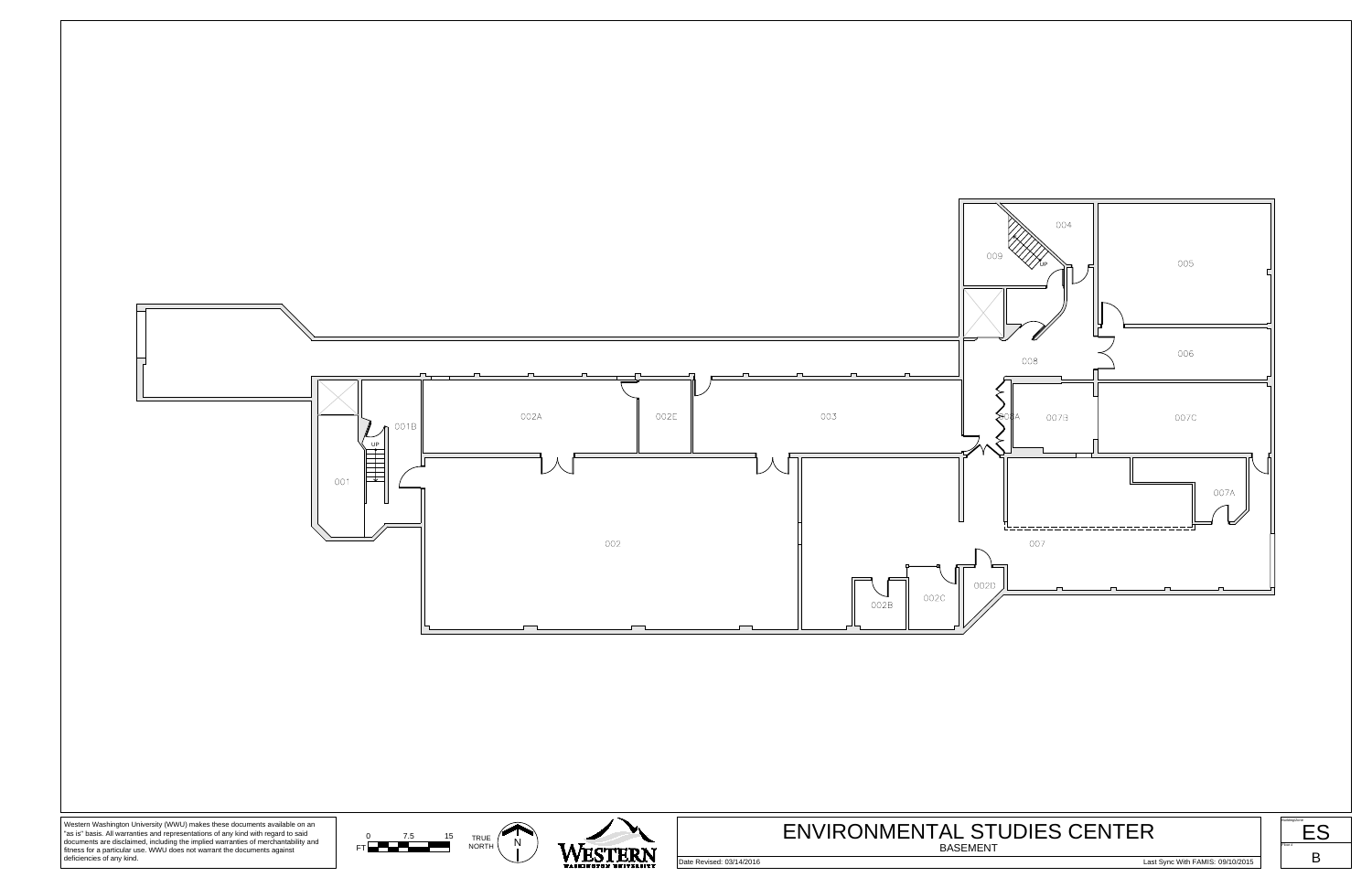

"as is" basis. All warranties and representations of any kind with regard to said documents are disclaimed, including the implied warranties of merchantability and<br>fitness for a particular use. WWU does not warrant the documents against<br>deficiencies of any kind.



# BASEMENT

Date Revised: 03/14/2016 2011 2012 2013 2013 2014 2014 2014 2014 2014 2014 2015 2016 2017 2018 2014 2016 2017 2015 2016 2016 2017 2015 2016 2017 2015 2016 2017 2018 2017 2015 2017 2018 2017 2018 2017 2018 2017 2018 2017 20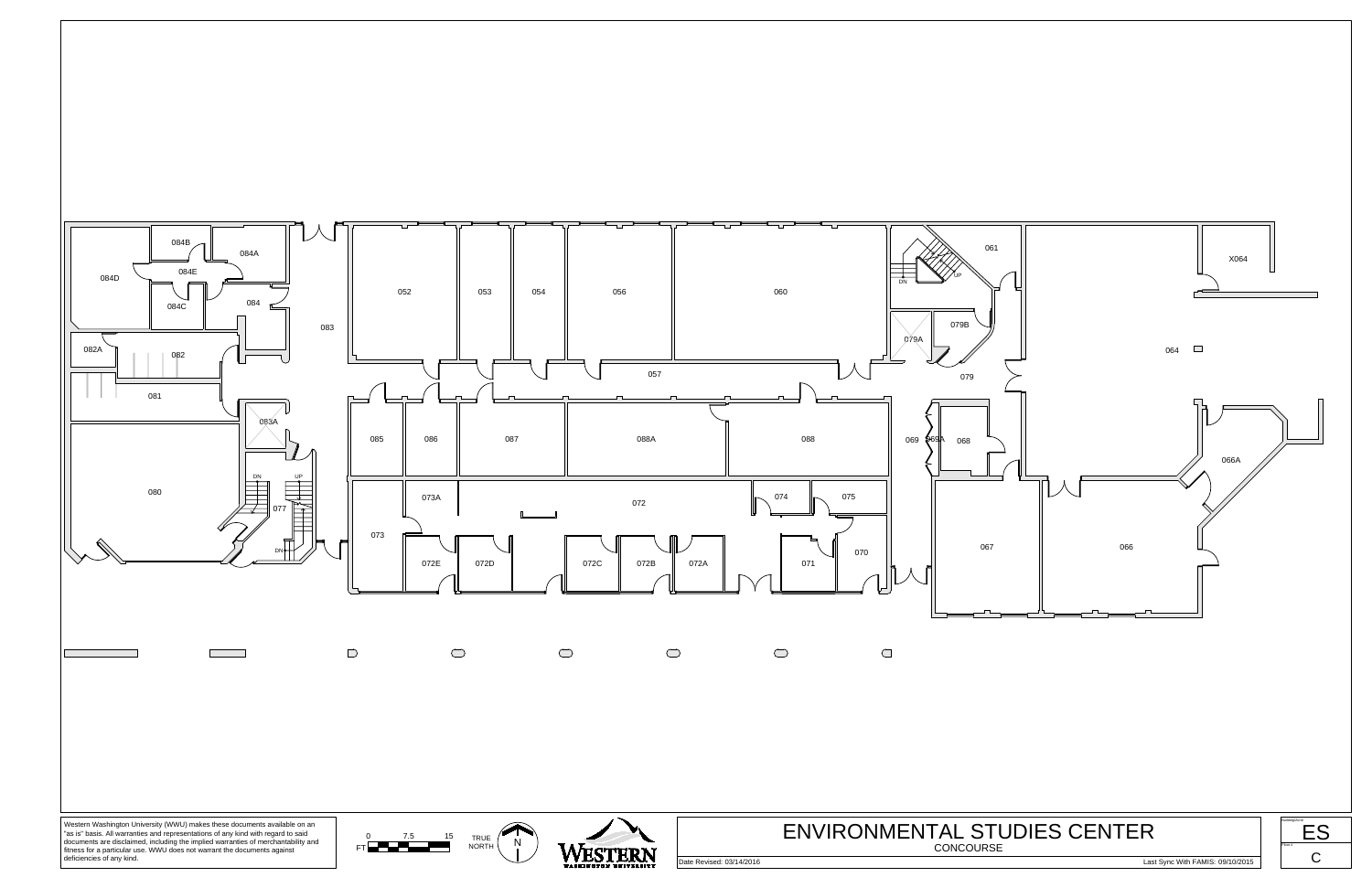

documents are disclaimed, including the implied warranties of merchantability and<br>fitness for a particular use. WWU does not warrant the documents against<br>deficiencies of any kind.

Floor #

 $C \qquad |$ 

Date Revised: 03/14/2016 Last Sync With FAMIS: 09/10/2015

CONCOURSE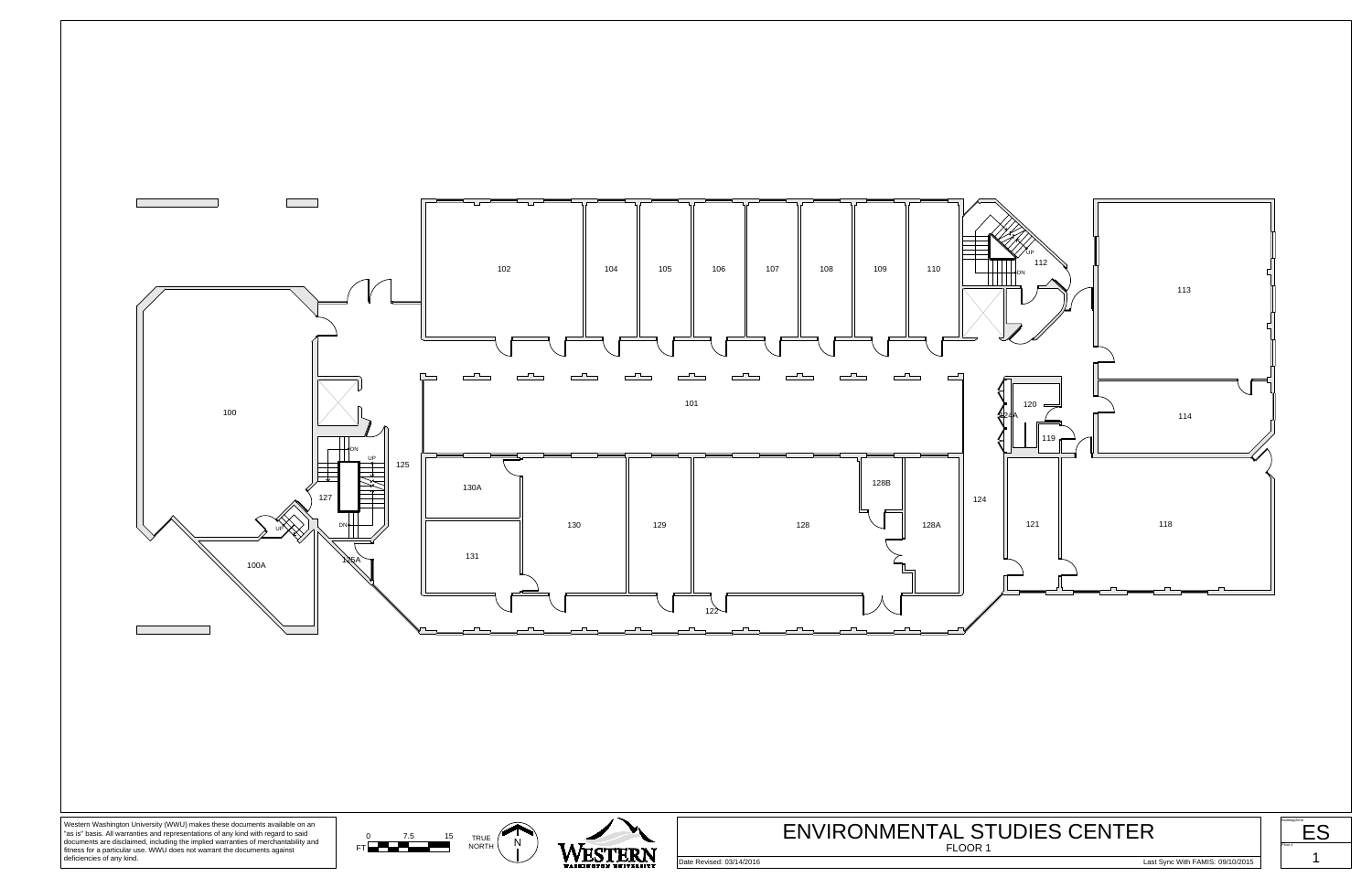









Date Revised: 03/14/2016 2011/2016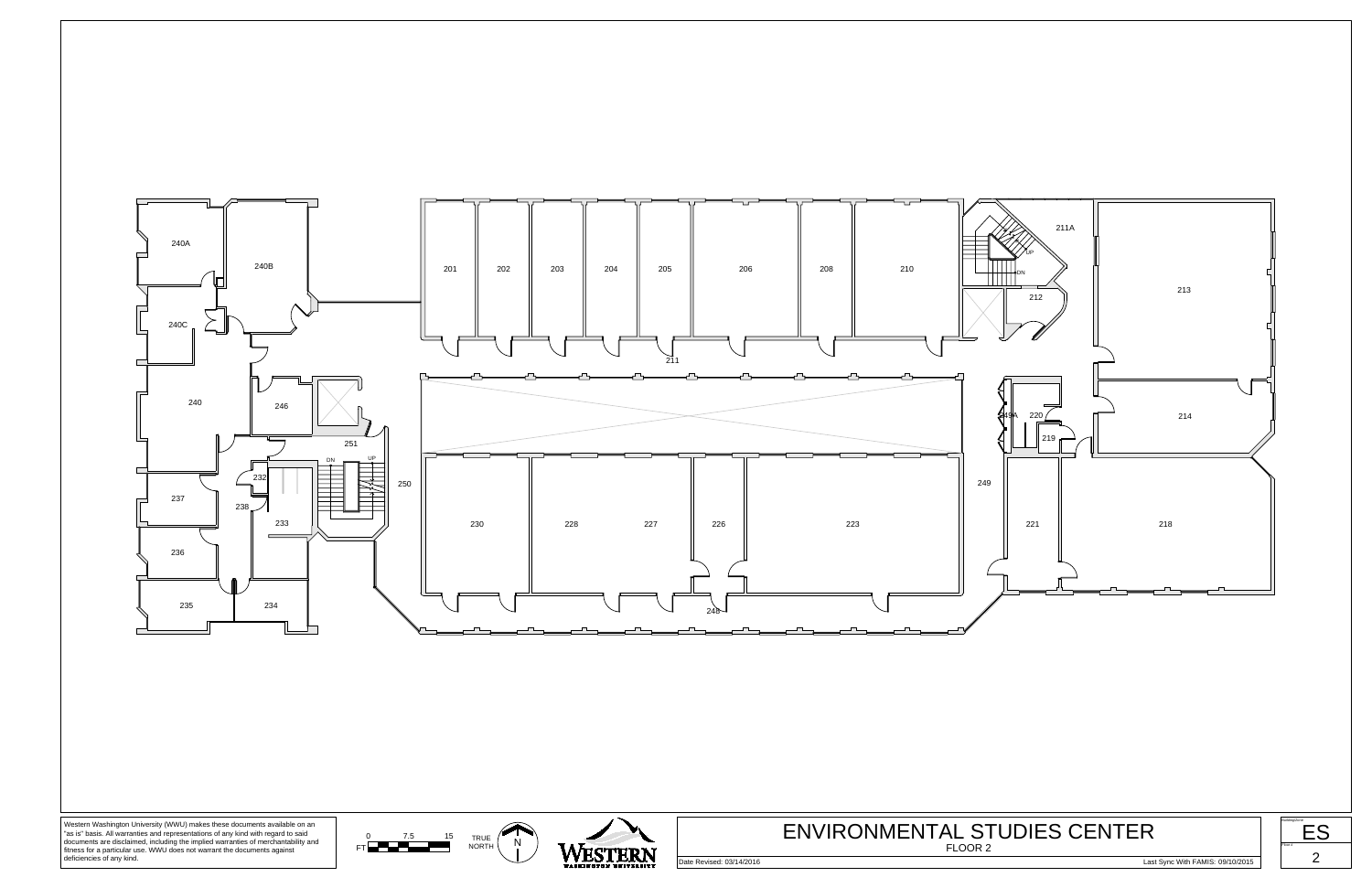



| Building/Zone |  |  |
|---------------|--|--|
|               |  |  |
| Floor #       |  |  |
|               |  |  |



Date Revised: 03/14/2016 Last Sync With FAMIS: 09/10/2015

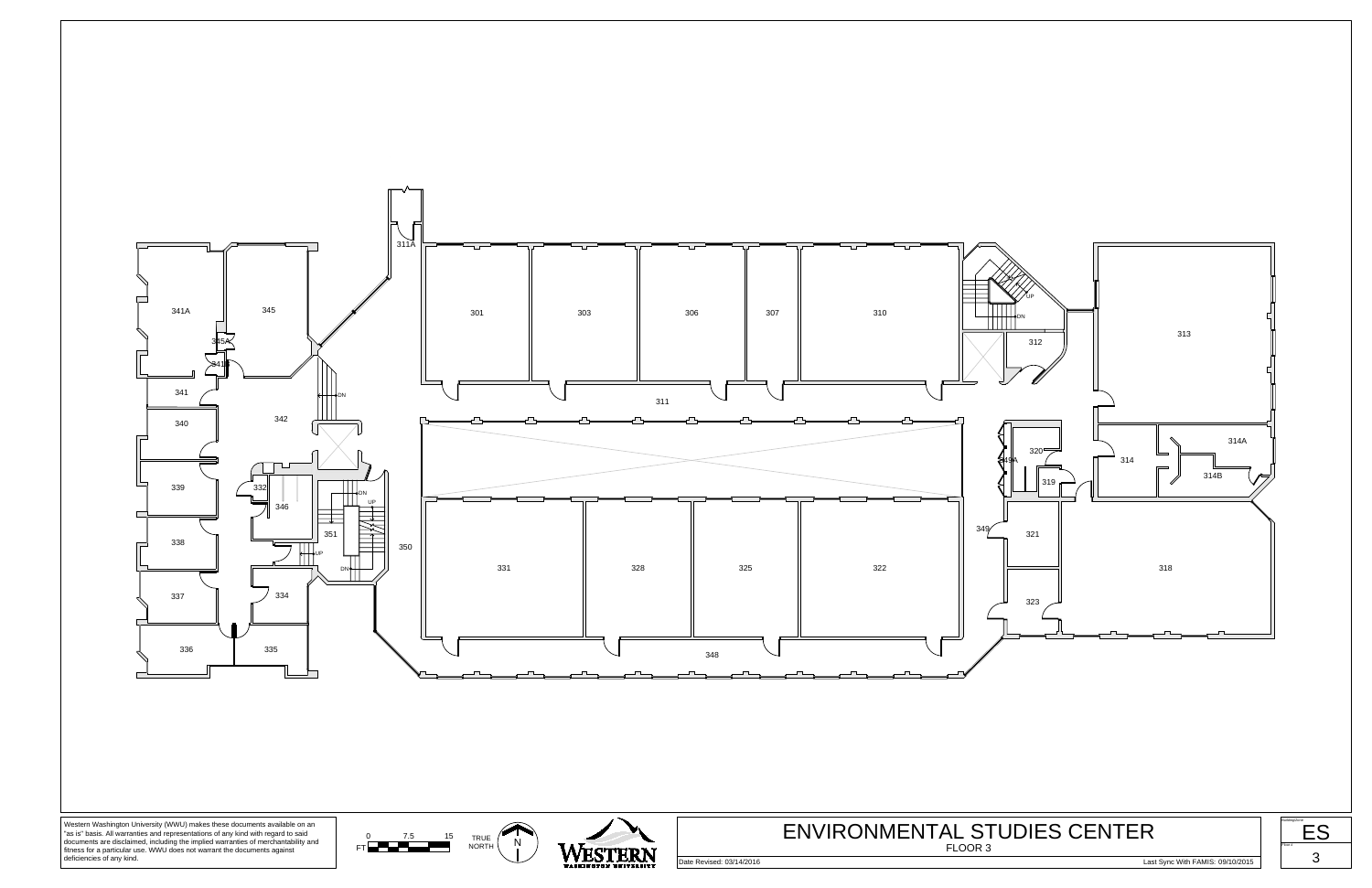









Date Revised: 03/14/2016 2011/2016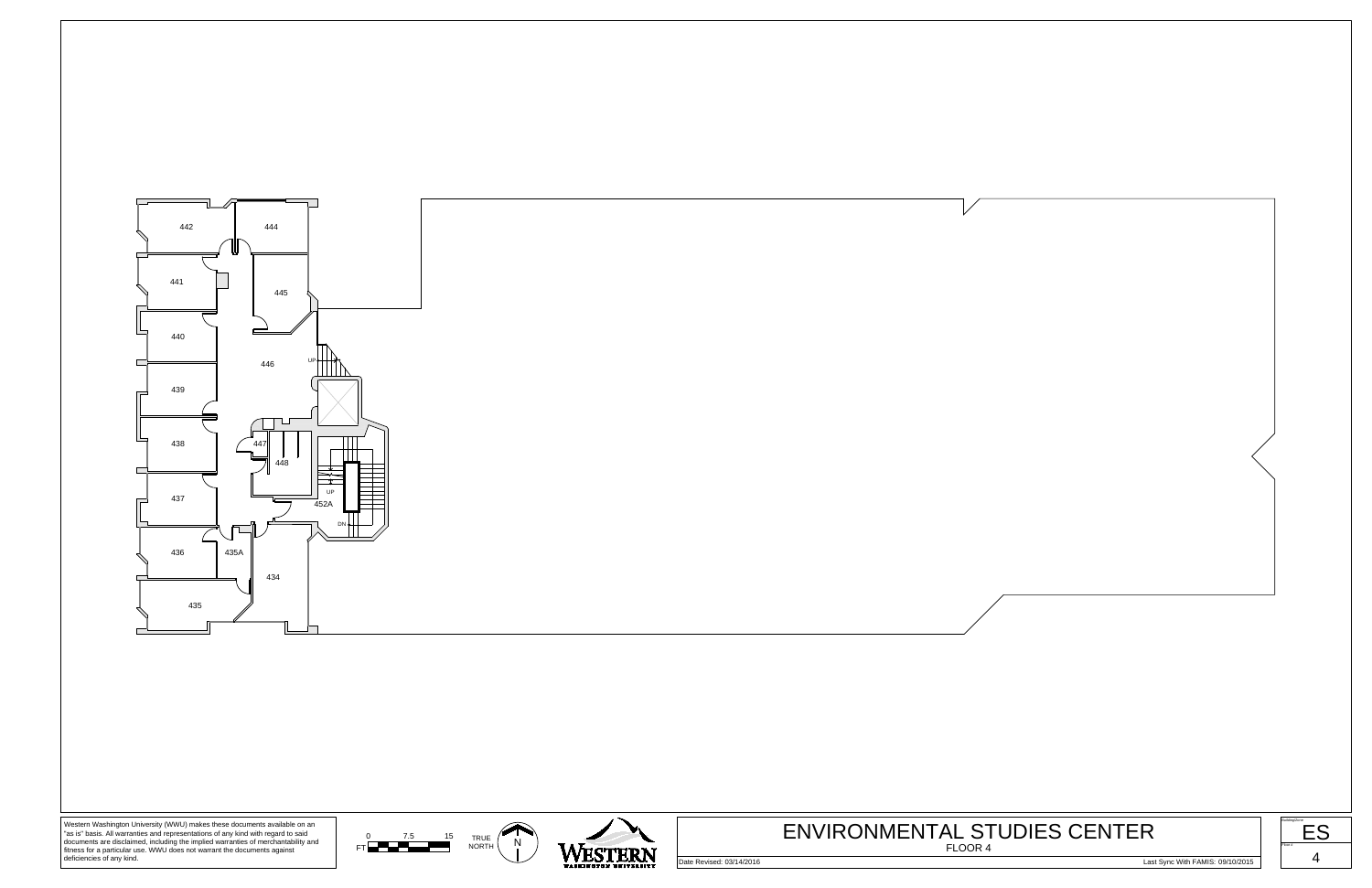









Date Revised: 03/14/2016 2014/2016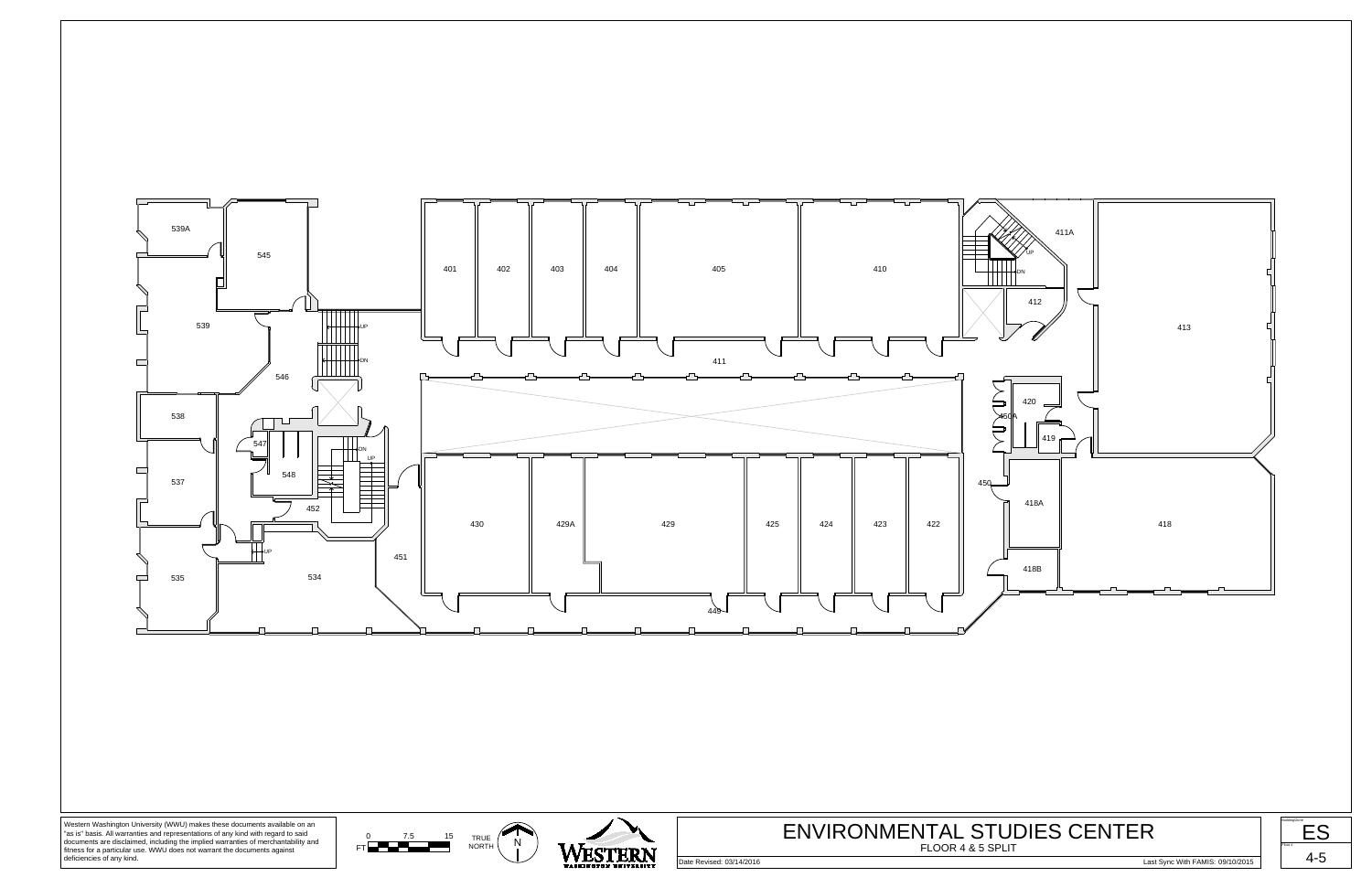





Date Revised: 03/14/2016 Last Sync With FAMIS: 09/10/2015



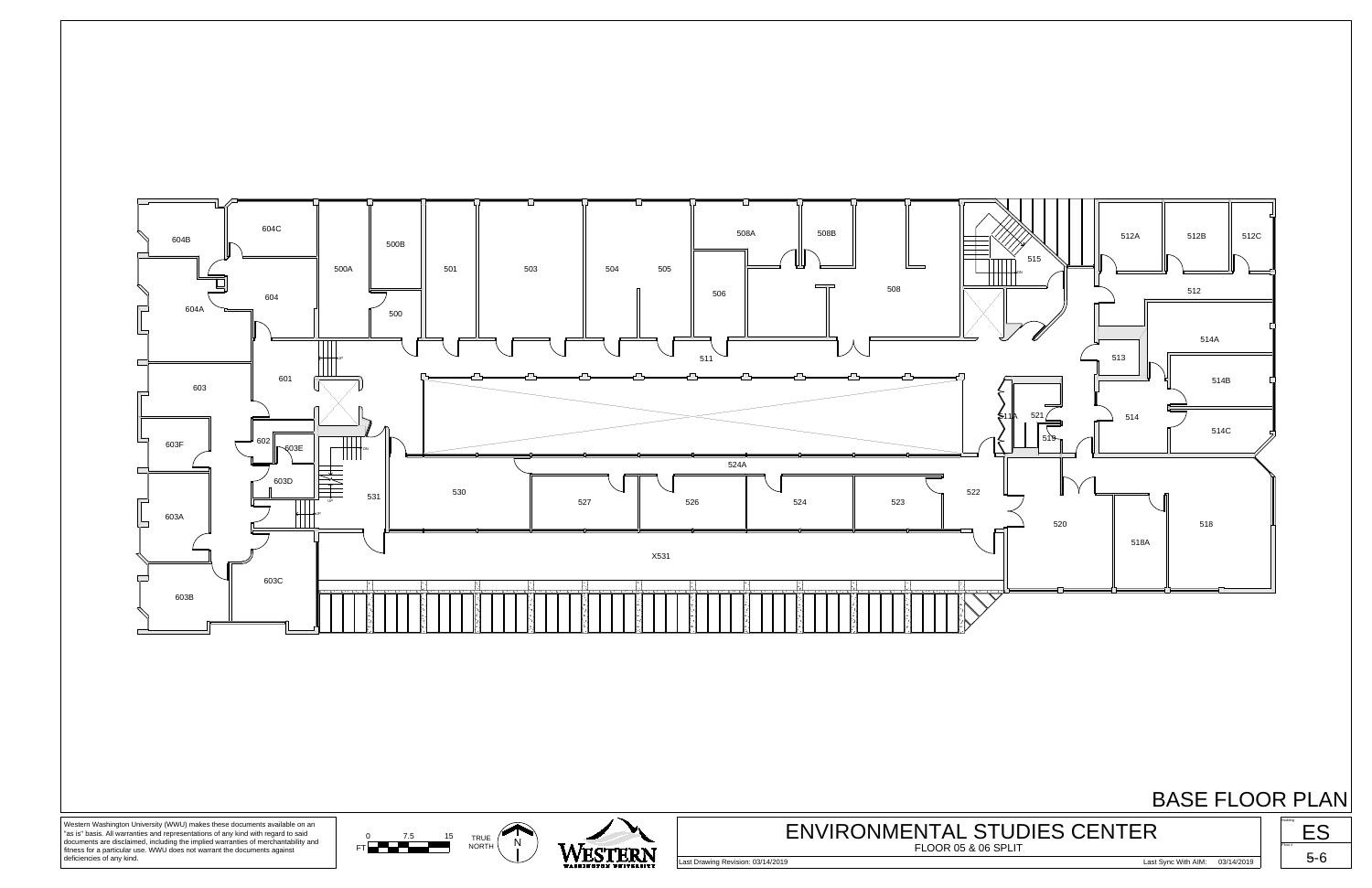

## BASE FLOOR PLAN





Western Washington University (WWU) makes these documents available on an "as is" basis. All warranties and representations of any kind with regard to said documents are disclaimed, including the implied warranties of merchantability and fitness for a particular use. WWU does not warrant the documents against deficiencies of any kind.

Last Drawing Revision: 03/14/2019 Last Sync With AIM: 03/14/2019